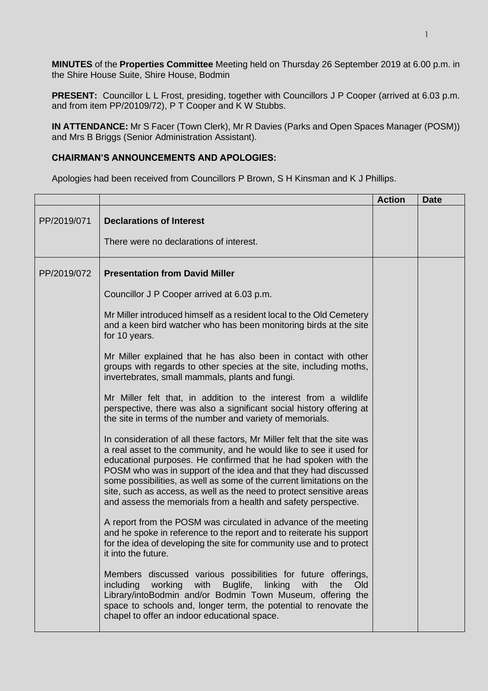**MINUTES** of the **Properties Committee** Meeting held on Thursday 26 September 2019 at 6.00 p.m. in the Shire House Suite, Shire House, Bodmin

**PRESENT:** Councillor L L Frost, presiding, together with Councillors J P Cooper (arrived at 6.03 p.m. and from item PP/20109/72), P T Cooper and K W Stubbs.

**IN ATTENDANCE:** Mr S Facer (Town Clerk), Mr R Davies (Parks and Open Spaces Manager (POSM)) and Mrs B Briggs (Senior Administration Assistant).

## **CHAIRMAN'S ANNOUNCEMENTS AND APOLOGIES:**

Apologies had been received from Councillors P Brown, S H Kinsman and K J Phillips.

|             |                                                                                                                                                                                                                                                                                                                                                                                                                                                                                                        | <b>Action</b> | <b>Date</b> |
|-------------|--------------------------------------------------------------------------------------------------------------------------------------------------------------------------------------------------------------------------------------------------------------------------------------------------------------------------------------------------------------------------------------------------------------------------------------------------------------------------------------------------------|---------------|-------------|
| PP/2019/071 | <b>Declarations of Interest</b><br>There were no declarations of interest.                                                                                                                                                                                                                                                                                                                                                                                                                             |               |             |
| PP/2019/072 | <b>Presentation from David Miller</b>                                                                                                                                                                                                                                                                                                                                                                                                                                                                  |               |             |
|             | Councillor J P Cooper arrived at 6.03 p.m.                                                                                                                                                                                                                                                                                                                                                                                                                                                             |               |             |
|             | Mr Miller introduced himself as a resident local to the Old Cemetery<br>and a keen bird watcher who has been monitoring birds at the site<br>for 10 years.                                                                                                                                                                                                                                                                                                                                             |               |             |
|             | Mr Miller explained that he has also been in contact with other<br>groups with regards to other species at the site, including moths,<br>invertebrates, small mammals, plants and fungi.                                                                                                                                                                                                                                                                                                               |               |             |
|             | Mr Miller felt that, in addition to the interest from a wildlife<br>perspective, there was also a significant social history offering at<br>the site in terms of the number and variety of memorials.                                                                                                                                                                                                                                                                                                  |               |             |
|             | In consideration of all these factors, Mr Miller felt that the site was<br>a real asset to the community, and he would like to see it used for<br>educational purposes. He confirmed that he had spoken with the<br>POSM who was in support of the idea and that they had discussed<br>some possibilities, as well as some of the current limitations on the<br>site, such as access, as well as the need to protect sensitive areas<br>and assess the memorials from a health and safety perspective. |               |             |
|             | A report from the POSM was circulated in advance of the meeting<br>and he spoke in reference to the report and to reiterate his support<br>for the idea of developing the site for community use and to protect<br>it into the future.                                                                                                                                                                                                                                                                 |               |             |
|             | discussed various possibilities for future offerings,<br>Members<br>including<br>working<br>with<br>Buglife,<br>linking<br>with<br>the<br>Old<br>Library/intoBodmin and/or Bodmin Town Museum, offering the<br>space to schools and, longer term, the potential to renovate the<br>chapel to offer an indoor educational space.                                                                                                                                                                        |               |             |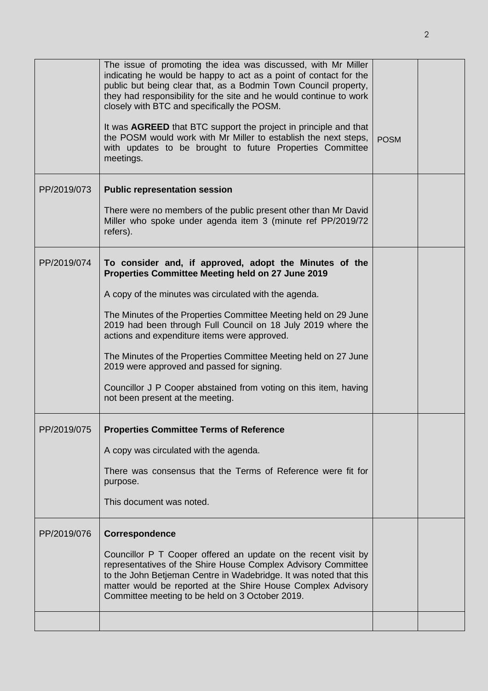|             | The issue of promoting the idea was discussed, with Mr Miller<br>indicating he would be happy to act as a point of contact for the<br>public but being clear that, as a Bodmin Town Council property,<br>they had responsibility for the site and he would continue to work<br>closely with BTC and specifically the POSM.<br>It was AGREED that BTC support the project in principle and that<br>the POSM would work with Mr Miller to establish the next steps,<br>with updates to be brought to future Properties Committee<br>meetings. | <b>POSM</b> |  |
|-------------|---------------------------------------------------------------------------------------------------------------------------------------------------------------------------------------------------------------------------------------------------------------------------------------------------------------------------------------------------------------------------------------------------------------------------------------------------------------------------------------------------------------------------------------------|-------------|--|
| PP/2019/073 | <b>Public representation session</b>                                                                                                                                                                                                                                                                                                                                                                                                                                                                                                        |             |  |
|             | There were no members of the public present other than Mr David<br>Miller who spoke under agenda item 3 (minute ref PP/2019/72<br>refers).                                                                                                                                                                                                                                                                                                                                                                                                  |             |  |
| PP/2019/074 | To consider and, if approved, adopt the Minutes of the<br>Properties Committee Meeting held on 27 June 2019                                                                                                                                                                                                                                                                                                                                                                                                                                 |             |  |
|             | A copy of the minutes was circulated with the agenda.                                                                                                                                                                                                                                                                                                                                                                                                                                                                                       |             |  |
|             | The Minutes of the Properties Committee Meeting held on 29 June<br>2019 had been through Full Council on 18 July 2019 where the<br>actions and expenditure items were approved.                                                                                                                                                                                                                                                                                                                                                             |             |  |
|             | The Minutes of the Properties Committee Meeting held on 27 June<br>2019 were approved and passed for signing.                                                                                                                                                                                                                                                                                                                                                                                                                               |             |  |
|             | Councillor J P Cooper abstained from voting on this item, having<br>not been present at the meeting.                                                                                                                                                                                                                                                                                                                                                                                                                                        |             |  |
| PP/2019/075 | <b>Properties Committee Terms of Reference</b>                                                                                                                                                                                                                                                                                                                                                                                                                                                                                              |             |  |
|             | A copy was circulated with the agenda.                                                                                                                                                                                                                                                                                                                                                                                                                                                                                                      |             |  |
|             | There was consensus that the Terms of Reference were fit for<br>purpose.                                                                                                                                                                                                                                                                                                                                                                                                                                                                    |             |  |
|             | This document was noted.                                                                                                                                                                                                                                                                                                                                                                                                                                                                                                                    |             |  |
| PP/2019/076 | Correspondence                                                                                                                                                                                                                                                                                                                                                                                                                                                                                                                              |             |  |
|             | Councillor P T Cooper offered an update on the recent visit by<br>representatives of the Shire House Complex Advisory Committee<br>to the John Betjeman Centre in Wadebridge. It was noted that this<br>matter would be reported at the Shire House Complex Advisory<br>Committee meeting to be held on 3 October 2019.                                                                                                                                                                                                                     |             |  |
|             |                                                                                                                                                                                                                                                                                                                                                                                                                                                                                                                                             |             |  |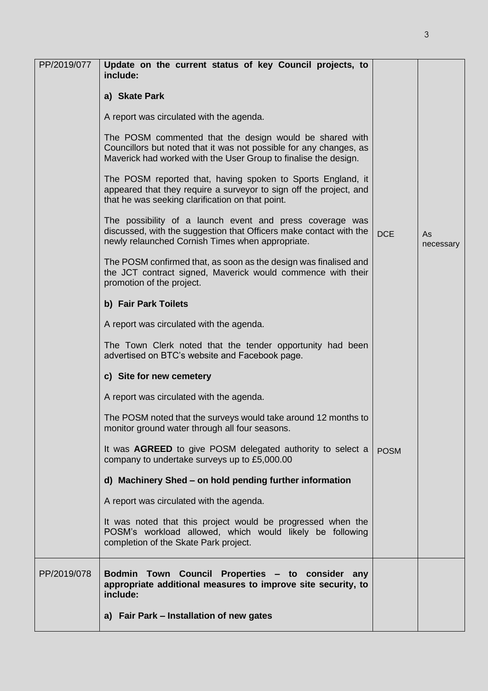| PP/2019/077 | Update on the current status of key Council projects, to<br>include:                                                                                                                             |             |                 |
|-------------|--------------------------------------------------------------------------------------------------------------------------------------------------------------------------------------------------|-------------|-----------------|
|             | a) Skate Park                                                                                                                                                                                    |             |                 |
|             | A report was circulated with the agenda.                                                                                                                                                         |             |                 |
|             | The POSM commented that the design would be shared with<br>Councillors but noted that it was not possible for any changes, as<br>Maverick had worked with the User Group to finalise the design. |             |                 |
|             | The POSM reported that, having spoken to Sports England, it<br>appeared that they require a surveyor to sign off the project, and<br>that he was seeking clarification on that point.            |             |                 |
|             | The possibility of a launch event and press coverage was<br>discussed, with the suggestion that Officers make contact with the<br>newly relaunched Cornish Times when appropriate.               | <b>DCE</b>  | As<br>necessary |
|             | The POSM confirmed that, as soon as the design was finalised and<br>the JCT contract signed, Maverick would commence with their<br>promotion of the project.                                     |             |                 |
|             | b) Fair Park Toilets                                                                                                                                                                             |             |                 |
|             | A report was circulated with the agenda.                                                                                                                                                         |             |                 |
|             | The Town Clerk noted that the tender opportunity had been<br>advertised on BTC's website and Facebook page.                                                                                      |             |                 |
|             | c) Site for new cemetery                                                                                                                                                                         |             |                 |
|             | A report was circulated with the agenda.                                                                                                                                                         |             |                 |
|             | The POSM noted that the surveys would take around 12 months to<br>monitor ground water through all four seasons.                                                                                 |             |                 |
|             | It was AGREED to give POSM delegated authority to select a<br>company to undertake surveys up to £5,000.00                                                                                       | <b>POSM</b> |                 |
|             | d) Machinery Shed - on hold pending further information                                                                                                                                          |             |                 |
|             | A report was circulated with the agenda.                                                                                                                                                         |             |                 |
|             | It was noted that this project would be progressed when the<br>POSM's workload allowed, which would likely be following<br>completion of the Skate Park project.                                 |             |                 |
| PP/2019/078 | Bodmin Town Council Properties - to consider any<br>appropriate additional measures to improve site security, to<br>include:                                                                     |             |                 |
|             | a) Fair Park - Installation of new gates                                                                                                                                                         |             |                 |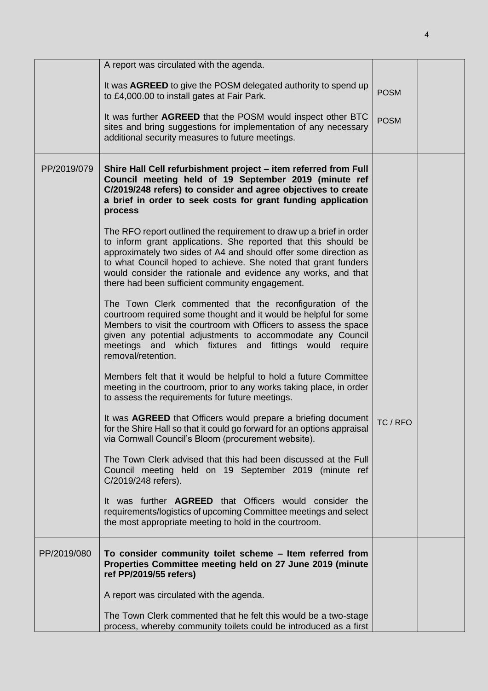|             | A report was circulated with the agenda.                                                                                                                                                                                                                                                                                                                                                        |             |  |
|-------------|-------------------------------------------------------------------------------------------------------------------------------------------------------------------------------------------------------------------------------------------------------------------------------------------------------------------------------------------------------------------------------------------------|-------------|--|
|             | It was AGREED to give the POSM delegated authority to spend up<br>to £4,000.00 to install gates at Fair Park.                                                                                                                                                                                                                                                                                   | <b>POSM</b> |  |
|             | It was further AGREED that the POSM would inspect other BTC<br>sites and bring suggestions for implementation of any necessary<br>additional security measures to future meetings.                                                                                                                                                                                                              | <b>POSM</b> |  |
| PP/2019/079 | Shire Hall Cell refurbishment project - item referred from Full<br>Council meeting held of 19 September 2019 (minute ref<br>C/2019/248 refers) to consider and agree objectives to create<br>a brief in order to seek costs for grant funding application<br>process                                                                                                                            |             |  |
|             | The RFO report outlined the requirement to draw up a brief in order<br>to inform grant applications. She reported that this should be<br>approximately two sides of A4 and should offer some direction as<br>to what Council hoped to achieve. She noted that grant funders<br>would consider the rationale and evidence any works, and that<br>there had been sufficient community engagement. |             |  |
|             | The Town Clerk commented that the reconfiguration of the<br>courtroom required some thought and it would be helpful for some<br>Members to visit the courtroom with Officers to assess the space<br>given any potential adjustments to accommodate any Council<br>meetings and which fixtures and fittings would<br>require<br>removal/retention.                                               |             |  |
|             | Members felt that it would be helpful to hold a future Committee<br>meeting in the courtroom, prior to any works taking place, in order<br>to assess the requirements for future meetings.                                                                                                                                                                                                      |             |  |
|             | It was <b>AGREED</b> that Officers would prepare a briefing document<br>for the Shire Hall so that it could go forward for an options appraisal<br>via Cornwall Council's Bloom (procurement website).                                                                                                                                                                                          | TC / RFO    |  |
|             | The Town Clerk advised that this had been discussed at the Full<br>Council meeting held on 19 September 2019 (minute ref<br>C/2019/248 refers).                                                                                                                                                                                                                                                 |             |  |
|             | It was further <b>AGREED</b> that Officers would consider the<br>requirements/logistics of upcoming Committee meetings and select<br>the most appropriate meeting to hold in the courtroom.                                                                                                                                                                                                     |             |  |
| PP/2019/080 | To consider community toilet scheme - Item referred from<br>Properties Committee meeting held on 27 June 2019 (minute<br>ref PP/2019/55 refers)                                                                                                                                                                                                                                                 |             |  |
|             | A report was circulated with the agenda.                                                                                                                                                                                                                                                                                                                                                        |             |  |
|             | The Town Clerk commented that he felt this would be a two-stage<br>process, whereby community toilets could be introduced as a first                                                                                                                                                                                                                                                            |             |  |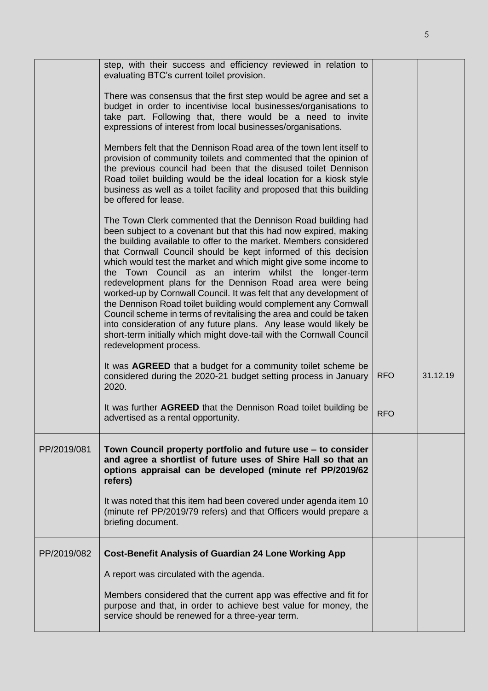|             | step, with their success and efficiency reviewed in relation to                                                                                                                                                                                                                                                                                                                                                                                                                                                                                                                                                                                                                                                                                                                                                                                               |            |          |
|-------------|---------------------------------------------------------------------------------------------------------------------------------------------------------------------------------------------------------------------------------------------------------------------------------------------------------------------------------------------------------------------------------------------------------------------------------------------------------------------------------------------------------------------------------------------------------------------------------------------------------------------------------------------------------------------------------------------------------------------------------------------------------------------------------------------------------------------------------------------------------------|------------|----------|
|             | evaluating BTC's current toilet provision.                                                                                                                                                                                                                                                                                                                                                                                                                                                                                                                                                                                                                                                                                                                                                                                                                    |            |          |
|             | There was consensus that the first step would be agree and set a<br>budget in order to incentivise local businesses/organisations to<br>take part. Following that, there would be a need to invite<br>expressions of interest from local businesses/organisations.                                                                                                                                                                                                                                                                                                                                                                                                                                                                                                                                                                                            |            |          |
|             | Members felt that the Dennison Road area of the town lent itself to<br>provision of community toilets and commented that the opinion of<br>the previous council had been that the disused toilet Dennison<br>Road toilet building would be the ideal location for a kiosk style<br>business as well as a toilet facility and proposed that this building<br>be offered for lease.                                                                                                                                                                                                                                                                                                                                                                                                                                                                             |            |          |
|             | The Town Clerk commented that the Dennison Road building had<br>been subject to a covenant but that this had now expired, making<br>the building available to offer to the market. Members considered<br>that Cornwall Council should be kept informed of this decision<br>which would test the market and which might give some income to<br>the Town Council as an<br>interim whilst the<br>longer-term<br>redevelopment plans for the Dennison Road area were being<br>worked-up by Cornwall Council. It was felt that any development of<br>the Dennison Road toilet building would complement any Cornwall<br>Council scheme in terms of revitalising the area and could be taken<br>into consideration of any future plans. Any lease would likely be<br>short-term initially which might dove-tail with the Cornwall Council<br>redevelopment process. |            |          |
|             | It was <b>AGREED</b> that a budget for a community toilet scheme be<br>considered during the 2020-21 budget setting process in January<br>2020.                                                                                                                                                                                                                                                                                                                                                                                                                                                                                                                                                                                                                                                                                                               | <b>RFO</b> | 31.12.19 |
|             | It was further AGREED that the Dennison Road toilet building be<br>advertised as a rental opportunity.                                                                                                                                                                                                                                                                                                                                                                                                                                                                                                                                                                                                                                                                                                                                                        | <b>RFO</b> |          |
| PP/2019/081 | Town Council property portfolio and future use – to consider<br>and agree a shortlist of future uses of Shire Hall so that an<br>options appraisal can be developed (minute ref PP/2019/62<br>refers)                                                                                                                                                                                                                                                                                                                                                                                                                                                                                                                                                                                                                                                         |            |          |
|             | It was noted that this item had been covered under agenda item 10<br>(minute ref PP/2019/79 refers) and that Officers would prepare a<br>briefing document.                                                                                                                                                                                                                                                                                                                                                                                                                                                                                                                                                                                                                                                                                                   |            |          |
| PP/2019/082 | <b>Cost-Benefit Analysis of Guardian 24 Lone Working App</b>                                                                                                                                                                                                                                                                                                                                                                                                                                                                                                                                                                                                                                                                                                                                                                                                  |            |          |
|             | A report was circulated with the agenda.                                                                                                                                                                                                                                                                                                                                                                                                                                                                                                                                                                                                                                                                                                                                                                                                                      |            |          |
|             | Members considered that the current app was effective and fit for<br>purpose and that, in order to achieve best value for money, the<br>service should be renewed for a three-year term.                                                                                                                                                                                                                                                                                                                                                                                                                                                                                                                                                                                                                                                                      |            |          |

5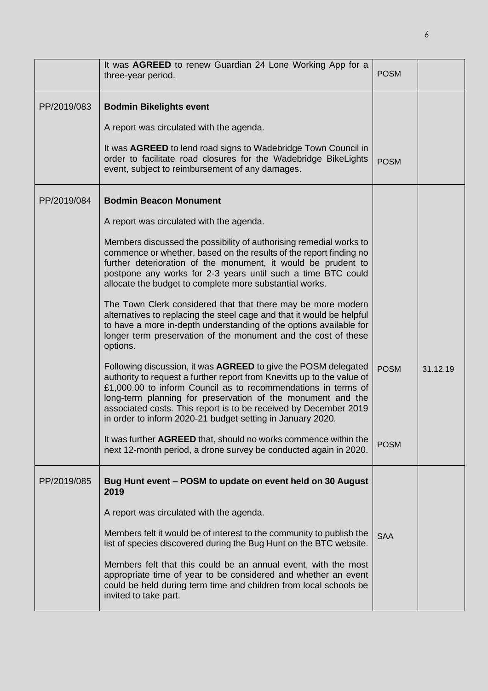|             | It was AGREED to renew Guardian 24 Lone Working App for a<br>three-year period.                                                                                                                                                                                                                                                                                                                                                                                                                                                                                                                                                                                                                                                                                                                                                                                                                                                                                                                                                                                                                                                                                                                                                                                     | <b>POSM</b>                |          |
|-------------|---------------------------------------------------------------------------------------------------------------------------------------------------------------------------------------------------------------------------------------------------------------------------------------------------------------------------------------------------------------------------------------------------------------------------------------------------------------------------------------------------------------------------------------------------------------------------------------------------------------------------------------------------------------------------------------------------------------------------------------------------------------------------------------------------------------------------------------------------------------------------------------------------------------------------------------------------------------------------------------------------------------------------------------------------------------------------------------------------------------------------------------------------------------------------------------------------------------------------------------------------------------------|----------------------------|----------|
| PP/2019/083 | <b>Bodmin Bikelights event</b><br>A report was circulated with the agenda.<br>It was <b>AGREED</b> to lend road signs to Wadebridge Town Council in<br>order to facilitate road closures for the Wadebridge BikeLights<br>event, subject to reimbursement of any damages.                                                                                                                                                                                                                                                                                                                                                                                                                                                                                                                                                                                                                                                                                                                                                                                                                                                                                                                                                                                           | <b>POSM</b>                |          |
| PP/2019/084 | <b>Bodmin Beacon Monument</b><br>A report was circulated with the agenda.<br>Members discussed the possibility of authorising remedial works to<br>commence or whether, based on the results of the report finding no<br>further deterioration of the monument, it would be prudent to<br>postpone any works for 2-3 years until such a time BTC could<br>allocate the budget to complete more substantial works.<br>The Town Clerk considered that that there may be more modern<br>alternatives to replacing the steel cage and that it would be helpful<br>to have a more in-depth understanding of the options available for<br>longer term preservation of the monument and the cost of these<br>options.<br>Following discussion, it was AGREED to give the POSM delegated<br>authority to request a further report from Knevitts up to the value of<br>£1,000.00 to inform Council as to recommendations in terms of<br>long-term planning for preservation of the monument and the<br>associated costs. This report is to be received by December 2019<br>in order to inform 2020-21 budget setting in January 2020.<br>It was further AGREED that, should no works commence within the<br>next 12-month period, a drone survey be conducted again in 2020. | <b>POSM</b><br><b>POSM</b> | 31.12.19 |
| PP/2019/085 | Bug Hunt event - POSM to update on event held on 30 August<br>2019<br>A report was circulated with the agenda.<br>Members felt it would be of interest to the community to publish the<br>list of species discovered during the Bug Hunt on the BTC website.<br>Members felt that this could be an annual event, with the most<br>appropriate time of year to be considered and whether an event<br>could be held during term time and children from local schools be<br>invited to take part.                                                                                                                                                                                                                                                                                                                                                                                                                                                                                                                                                                                                                                                                                                                                                                      | <b>SAA</b>                 |          |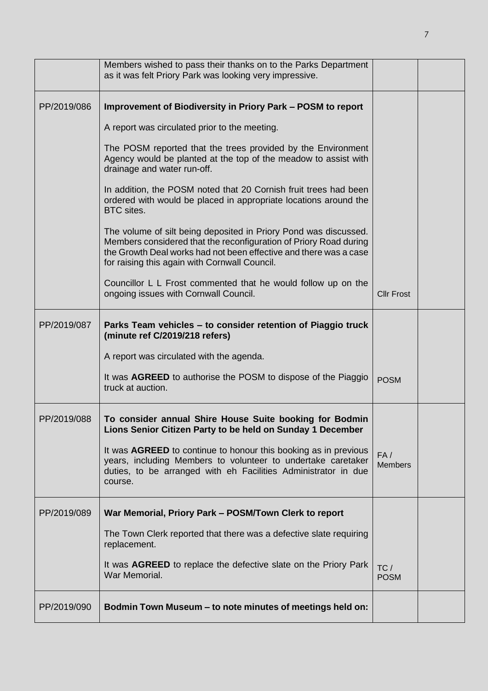|             | Members wished to pass their thanks on to the Parks Department<br>as it was felt Priory Park was looking very impressive.                                                                                                                                   |                       |  |
|-------------|-------------------------------------------------------------------------------------------------------------------------------------------------------------------------------------------------------------------------------------------------------------|-----------------------|--|
| PP/2019/086 | Improvement of Biodiversity in Priory Park - POSM to report                                                                                                                                                                                                 |                       |  |
|             | A report was circulated prior to the meeting.                                                                                                                                                                                                               |                       |  |
|             | The POSM reported that the trees provided by the Environment<br>Agency would be planted at the top of the meadow to assist with<br>drainage and water run-off.                                                                                              |                       |  |
|             | In addition, the POSM noted that 20 Cornish fruit trees had been<br>ordered with would be placed in appropriate locations around the<br>BTC sites.                                                                                                          |                       |  |
|             | The volume of silt being deposited in Priory Pond was discussed.<br>Members considered that the reconfiguration of Priory Road during<br>the Growth Deal works had not been effective and there was a case<br>for raising this again with Cornwall Council. |                       |  |
|             | Councillor L L Frost commented that he would follow up on the<br>ongoing issues with Cornwall Council.                                                                                                                                                      | <b>Cllr Frost</b>     |  |
| PP/2019/087 | Parks Team vehicles - to consider retention of Piaggio truck<br>(minute ref C/2019/218 refers)                                                                                                                                                              |                       |  |
|             | A report was circulated with the agenda.                                                                                                                                                                                                                    |                       |  |
|             | It was AGREED to authorise the POSM to dispose of the Piaggio<br>truck at auction.                                                                                                                                                                          | <b>POSM</b>           |  |
| PP/2019/088 | To consider annual Shire House Suite booking for Bodmin<br>Lions Senior Citizen Party to be held on Sunday 1 December                                                                                                                                       |                       |  |
|             | It was AGREED to continue to honour this booking as in previous<br>years, including Members to volunteer to undertake caretaker<br>duties, to be arranged with eh Facilities Administrator in due<br>course.                                                | FA/<br><b>Members</b> |  |
| PP/2019/089 | War Memorial, Priory Park - POSM/Town Clerk to report                                                                                                                                                                                                       |                       |  |
|             | The Town Clerk reported that there was a defective slate requiring<br>replacement.                                                                                                                                                                          |                       |  |
|             | It was AGREED to replace the defective slate on the Priory Park<br>War Memorial.                                                                                                                                                                            | TC/<br><b>POSM</b>    |  |
| PP/2019/090 | Bodmin Town Museum - to note minutes of meetings held on:                                                                                                                                                                                                   |                       |  |

7